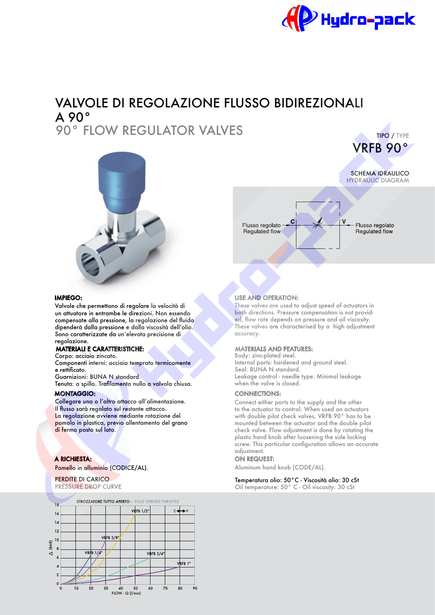

SCHEMA IDRAULICO

VRFB 90°

TIPO / TYPE

HYDRAULIC DIAGRAM

Flusso regolato

Regulated flow

# VALVOLE DI REGOLAZIONE FLUSSO BIDIREZIONALI A 90° 90° FLOW REGULATOR VALVES



#### IMPIEGO:

Valvole che permettono di regolare la velocità di un attuatore in entrambe le direzioni. Non essendo compensate alla pressione, la regolazione del fuido dipenderà dalla pressione e dalla viscosità dell'olio. Sono caratterizzate da un'elevata precisione di regolazione.

### MATERIALI E CARATTERISTICHE:

Corpo: acciaio zincato. Componenti interni: acciaio temprato termicamente e rettifcato. Guarnizioni: BUNA N standard.

Tenuta: a spillo. Traflamento nullo a valvola chiusa. MONTAGGIO:

Collegare uno o l'altro attacco all'alimentazione. Il fusso sarà regolato sul restante attacco. La regolazione avviene mediante rotazione del pomolo in plastica, previo allentamento del grano di fermo posto sul lato.

#### A RICHIESTA:

Pomello in alluminio (CODICE/AL).

PERDITE DI CARICO PRESSURE DROP CURVE





Flusso regolato

Requlated flow

These valves are used to adjust speed of actuators in both directions. Pressure compensation is not provided, fow rate depends on pressure and oil viscosity. These valves are characterised by a high adjustment accuracy.

#### MATERIALS AND FEATURES:

Body: zinc-plated steel. Internal parts: hardened and ground steel. Seal: BUNA N standard. Leakage control - needle type. Minimal leakage when the valve is closed.

#### CONNECTIONS:

Connect either ports to the supply and the other to the actuator to control. When used on actuators with double pilot check valves, VRFB 90° has to be mounted between the actuator and the double pilot check valve. Flow adjustment is done by rotating the plastic hand knob after loosening the side locking screw. This particular confguration allows an accurate adjustment.

#### ON REQUEST:

Aluminum hand knob (CODE/AL).

## Temperatura olio: 50°C - Viscosità olio: 30 cSt

Oil temperature: 50° C - Oil viscosity: 30 cSt